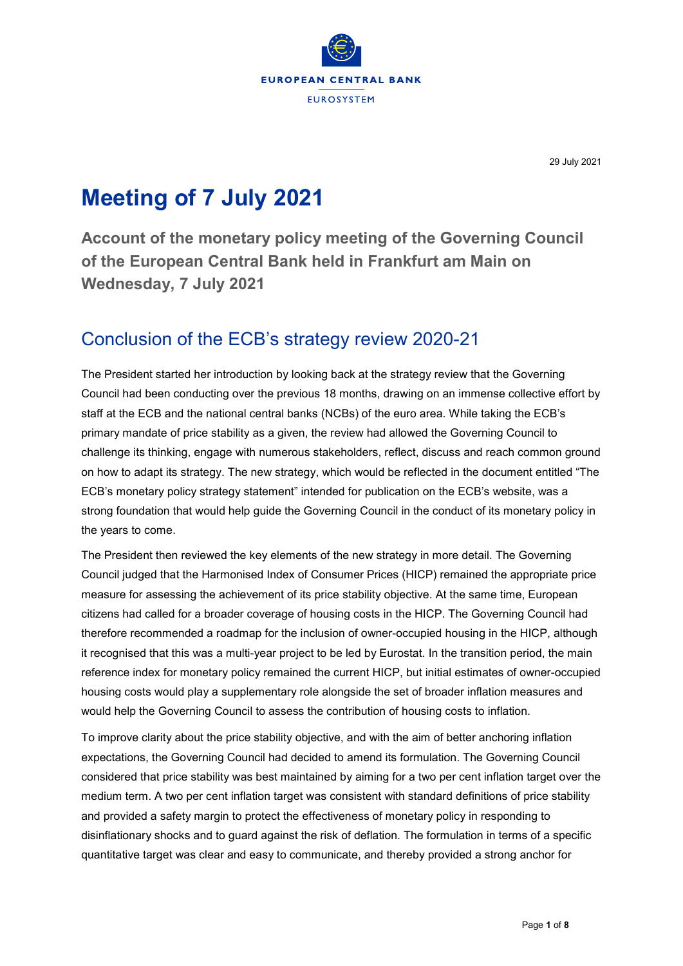

29 July 2021

# **Meeting of 7 July 2021**

**Account of the monetary policy meeting of the Governing Council of the European Central Bank held in Frankfurt am Main on Wednesday, 7 July 2021**

# Conclusion of the ECB's strategy review 2020-21

The President started her introduction by looking back at the strategy review that the Governing Council had been conducting over the previous 18 months, drawing on an immense collective effort by staff at the ECB and the national central banks (NCBs) of the euro area. While taking the ECB's primary mandate of price stability as a given, the review had allowed the Governing Council to challenge its thinking, engage with numerous stakeholders, reflect, discuss and reach common ground on how to adapt its strategy. The new strategy, which would be reflected in the document entitled "The ECB's monetary policy strategy statement" intended for publication on the ECB's website, was a strong foundation that would help guide the Governing Council in the conduct of its monetary policy in the years to come.

The President then reviewed the key elements of the new strategy in more detail. The Governing Council judged that the Harmonised Index of Consumer Prices (HICP) remained the appropriate price measure for assessing the achievement of its price stability objective. At the same time, European citizens had called for a broader coverage of housing costs in the HICP. The Governing Council had therefore recommended a roadmap for the inclusion of owner-occupied housing in the HICP, although it recognised that this was a multi-year project to be led by Eurostat. In the transition period, the main reference index for monetary policy remained the current HICP, but initial estimates of owner-occupied housing costs would play a supplementary role alongside the set of broader inflation measures and would help the Governing Council to assess the contribution of housing costs to inflation.

To improve clarity about the price stability objective, and with the aim of better anchoring inflation expectations, the Governing Council had decided to amend its formulation. The Governing Council considered that price stability was best maintained by aiming for a two per cent inflation target over the medium term. A two per cent inflation target was consistent with standard definitions of price stability and provided a safety margin to protect the effectiveness of monetary policy in responding to disinflationary shocks and to guard against the risk of deflation. The formulation in terms of a specific quantitative target was clear and easy to communicate, and thereby provided a strong anchor for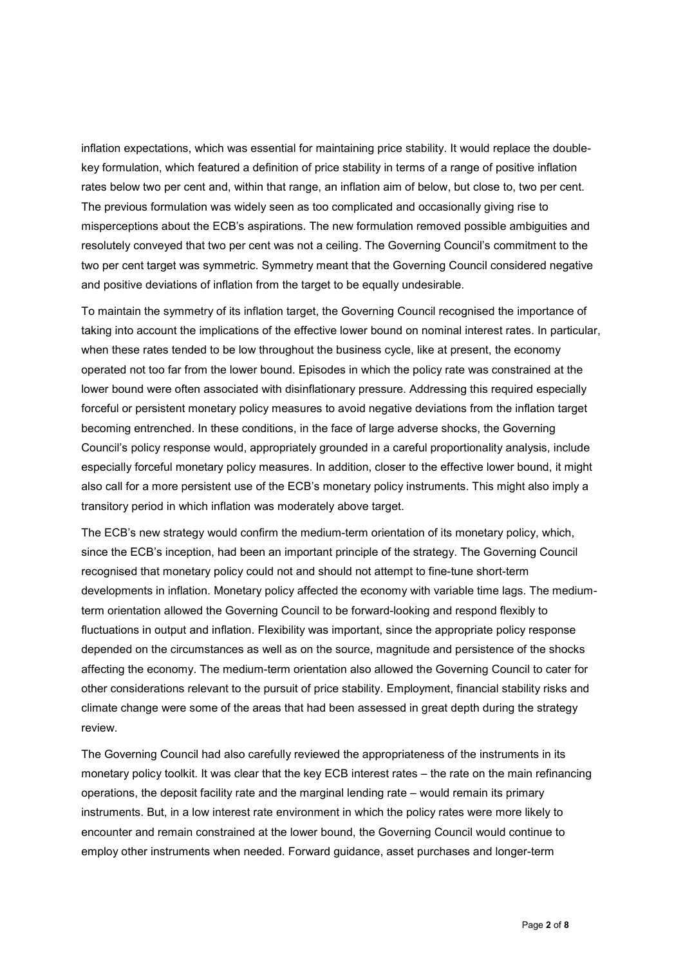inflation expectations, which was essential for maintaining price stability. It would replace the doublekey formulation, which featured a definition of price stability in terms of a range of positive inflation rates below two per cent and, within that range, an inflation aim of below, but close to, two per cent. The previous formulation was widely seen as too complicated and occasionally giving rise to misperceptions about the ECB's aspirations. The new formulation removed possible ambiguities and resolutely conveyed that two per cent was not a ceiling. The Governing Council's commitment to the two per cent target was symmetric. Symmetry meant that the Governing Council considered negative and positive deviations of inflation from the target to be equally undesirable.

To maintain the symmetry of its inflation target, the Governing Council recognised the importance of taking into account the implications of the effective lower bound on nominal interest rates. In particular, when these rates tended to be low throughout the business cycle, like at present, the economy operated not too far from the lower bound. Episodes in which the policy rate was constrained at the lower bound were often associated with disinflationary pressure. Addressing this required especially forceful or persistent monetary policy measures to avoid negative deviations from the inflation target becoming entrenched. In these conditions, in the face of large adverse shocks, the Governing Council's policy response would, appropriately grounded in a careful proportionality analysis, include especially forceful monetary policy measures. In addition, closer to the effective lower bound, it might also call for a more persistent use of the ECB's monetary policy instruments. This might also imply a transitory period in which inflation was moderately above target.

The ECB's new strategy would confirm the medium-term orientation of its monetary policy, which, since the ECB's inception, had been an important principle of the strategy. The Governing Council recognised that monetary policy could not and should not attempt to fine-tune short-term developments in inflation. Monetary policy affected the economy with variable time lags. The mediumterm orientation allowed the Governing Council to be forward-looking and respond flexibly to fluctuations in output and inflation. Flexibility was important, since the appropriate policy response depended on the circumstances as well as on the source, magnitude and persistence of the shocks affecting the economy. The medium-term orientation also allowed the Governing Council to cater for other considerations relevant to the pursuit of price stability. Employment, financial stability risks and climate change were some of the areas that had been assessed in great depth during the strategy review.

The Governing Council had also carefully reviewed the appropriateness of the instruments in its monetary policy toolkit. It was clear that the key ECB interest rates – the rate on the main refinancing operations, the deposit facility rate and the marginal lending rate – would remain its primary instruments. But, in a low interest rate environment in which the policy rates were more likely to encounter and remain constrained at the lower bound, the Governing Council would continue to employ other instruments when needed. Forward guidance, asset purchases and longer-term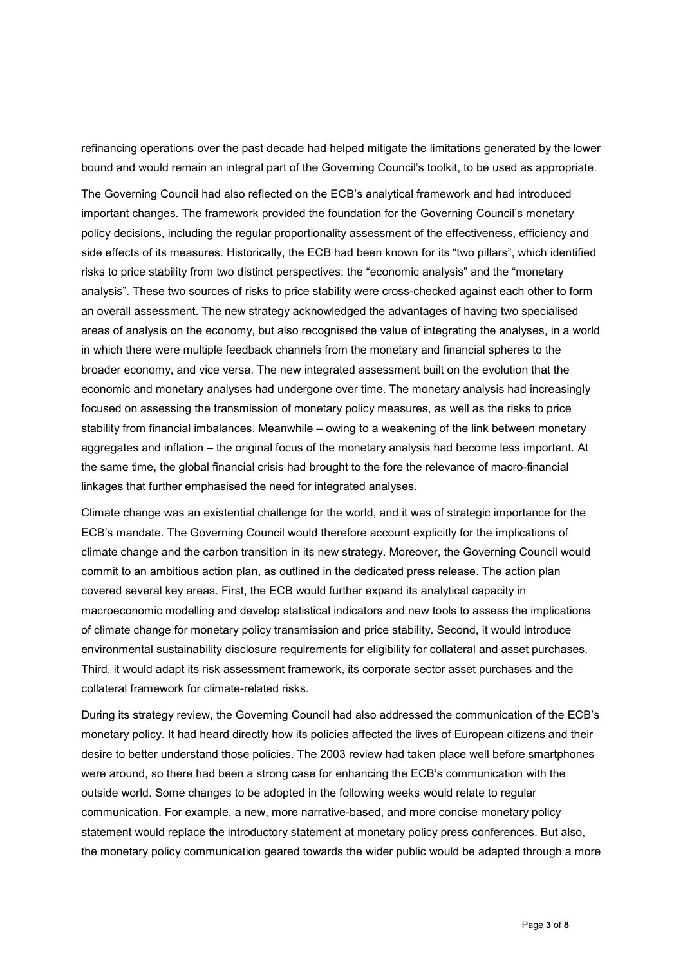refinancing operations over the past decade had helped mitigate the limitations generated by the lower bound and would remain an integral part of the Governing Council's toolkit, to be used as appropriate.

The Governing Council had also reflected on the ECB's analytical framework and had introduced important changes. The framework provided the foundation for the Governing Council's monetary policy decisions, including the regular proportionality assessment of the effectiveness, efficiency and side effects of its measures. Historically, the ECB had been known for its "two pillars", which identified risks to price stability from two distinct perspectives: the "economic analysis" and the "monetary analysis". These two sources of risks to price stability were cross-checked against each other to form an overall assessment. The new strategy acknowledged the advantages of having two specialised areas of analysis on the economy, but also recognised the value of integrating the analyses, in a world in which there were multiple feedback channels from the monetary and financial spheres to the broader economy, and vice versa. The new integrated assessment built on the evolution that the economic and monetary analyses had undergone over time. The monetary analysis had increasingly focused on assessing the transmission of monetary policy measures, as well as the risks to price stability from financial imbalances. Meanwhile – owing to a weakening of the link between monetary aggregates and inflation – the original focus of the monetary analysis had become less important. At the same time, the global financial crisis had brought to the fore the relevance of macro-financial linkages that further emphasised the need for integrated analyses.

Climate change was an existential challenge for the world, and it was of strategic importance for the ECB's mandate. The Governing Council would therefore account explicitly for the implications of climate change and the carbon transition in its new strategy. Moreover, the Governing Council would commit to an ambitious action plan, as outlined in the dedicated press release. The action plan covered several key areas. First, the ECB would further expand its analytical capacity in macroeconomic modelling and develop statistical indicators and new tools to assess the implications of climate change for monetary policy transmission and price stability. Second, it would introduce environmental sustainability disclosure requirements for eligibility for collateral and asset purchases. Third, it would adapt its risk assessment framework, its corporate sector asset purchases and the collateral framework for climate-related risks.

During its strategy review, the Governing Council had also addressed the communication of the ECB's monetary policy. It had heard directly how its policies affected the lives of European citizens and their desire to better understand those policies. The 2003 review had taken place well before smartphones were around, so there had been a strong case for enhancing the ECB's communication with the outside world. Some changes to be adopted in the following weeks would relate to regular communication. For example, a new, more narrative-based, and more concise monetary policy statement would replace the introductory statement at monetary policy press conferences. But also, the monetary policy communication geared towards the wider public would be adapted through a more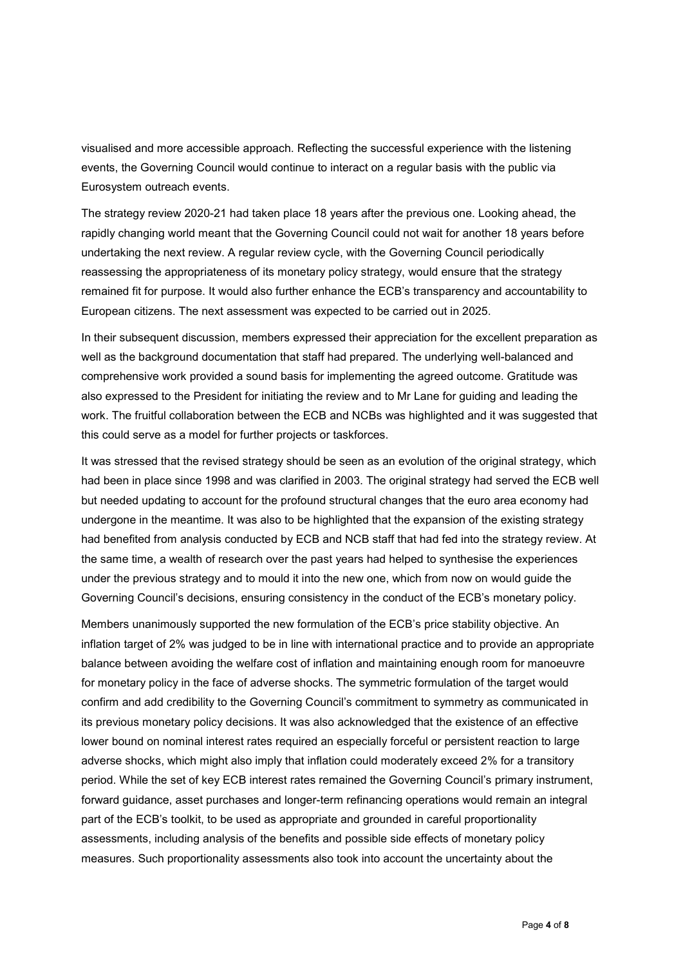visualised and more accessible approach. Reflecting the successful experience with the listening events, the Governing Council would continue to interact on a regular basis with the public via Eurosystem outreach events.

The strategy review 2020-21 had taken place 18 years after the previous one. Looking ahead, the rapidly changing world meant that the Governing Council could not wait for another 18 years before undertaking the next review. A regular review cycle, with the Governing Council periodically reassessing the appropriateness of its monetary policy strategy, would ensure that the strategy remained fit for purpose. It would also further enhance the ECB's transparency and accountability to European citizens. The next assessment was expected to be carried out in 2025.

In their subsequent discussion, members expressed their appreciation for the excellent preparation as well as the background documentation that staff had prepared. The underlying well-balanced and comprehensive work provided a sound basis for implementing the agreed outcome. Gratitude was also expressed to the President for initiating the review and to Mr Lane for guiding and leading the work. The fruitful collaboration between the ECB and NCBs was highlighted and it was suggested that this could serve as a model for further projects or taskforces.

It was stressed that the revised strategy should be seen as an evolution of the original strategy, which had been in place since 1998 and was clarified in 2003. The original strategy had served the ECB well but needed updating to account for the profound structural changes that the euro area economy had undergone in the meantime. It was also to be highlighted that the expansion of the existing strategy had benefited from analysis conducted by ECB and NCB staff that had fed into the strategy review. At the same time, a wealth of research over the past years had helped to synthesise the experiences under the previous strategy and to mould it into the new one, which from now on would guide the Governing Council's decisions, ensuring consistency in the conduct of the ECB's monetary policy.

Members unanimously supported the new formulation of the ECB's price stability objective. An inflation target of 2% was judged to be in line with international practice and to provide an appropriate balance between avoiding the welfare cost of inflation and maintaining enough room for manoeuvre for monetary policy in the face of adverse shocks. The symmetric formulation of the target would confirm and add credibility to the Governing Council's commitment to symmetry as communicated in its previous monetary policy decisions. It was also acknowledged that the existence of an effective lower bound on nominal interest rates required an especially forceful or persistent reaction to large adverse shocks, which might also imply that inflation could moderately exceed 2% for a transitory period. While the set of key ECB interest rates remained the Governing Council's primary instrument, forward guidance, asset purchases and longer-term refinancing operations would remain an integral part of the ECB's toolkit, to be used as appropriate and grounded in careful proportionality assessments, including analysis of the benefits and possible side effects of monetary policy measures. Such proportionality assessments also took into account the uncertainty about the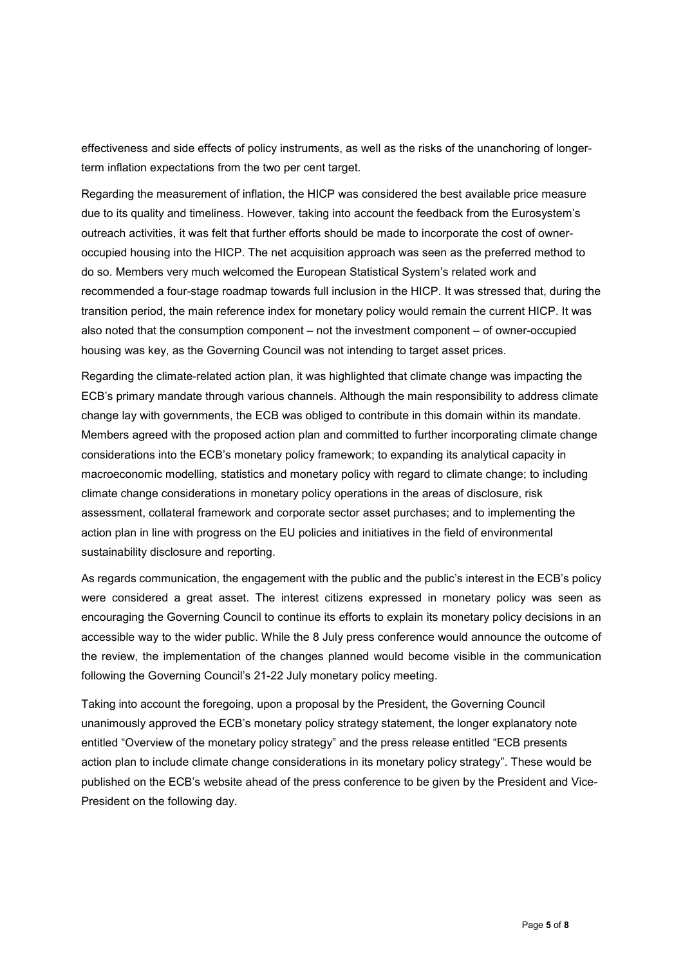effectiveness and side effects of policy instruments, as well as the risks of the unanchoring of longerterm inflation expectations from the two per cent target.

Regarding the measurement of inflation, the HICP was considered the best available price measure due to its quality and timeliness. However, taking into account the feedback from the Eurosystem's outreach activities, it was felt that further efforts should be made to incorporate the cost of owneroccupied housing into the HICP. The net acquisition approach was seen as the preferred method to do so. Members very much welcomed the European Statistical System's related work and recommended a four-stage roadmap towards full inclusion in the HICP. It was stressed that, during the transition period, the main reference index for monetary policy would remain the current HICP. It was also noted that the consumption component – not the investment component – of owner-occupied housing was key, as the Governing Council was not intending to target asset prices.

Regarding the climate-related action plan, it was highlighted that climate change was impacting the ECB's primary mandate through various channels. Although the main responsibility to address climate change lay with governments, the ECB was obliged to contribute in this domain within its mandate. Members agreed with the proposed action plan and committed to further incorporating climate change considerations into the ECB's monetary policy framework; to expanding its analytical capacity in macroeconomic modelling, statistics and monetary policy with regard to climate change; to including climate change considerations in monetary policy operations in the areas of disclosure, risk assessment, collateral framework and corporate sector asset purchases; and to implementing the action plan in line with progress on the EU policies and initiatives in the field of environmental sustainability disclosure and reporting.

As regards communication, the engagement with the public and the public's interest in the ECB's policy were considered a great asset. The interest citizens expressed in monetary policy was seen as encouraging the Governing Council to continue its efforts to explain its monetary policy decisions in an accessible way to the wider public. While the 8 July press conference would announce the outcome of the review, the implementation of the changes planned would become visible in the communication following the Governing Council's 21-22 July monetary policy meeting.

Taking into account the foregoing, upon a proposal by the President, the Governing Council unanimously approved the ECB's monetary policy strategy statement, the longer explanatory note entitled "Overview of the monetary policy strategy" and the press release entitled "ECB presents action plan to include climate change considerations in its monetary policy strategy". These would be published on the ECB's website ahead of the press conference to be given by the President and Vice-President on the following day.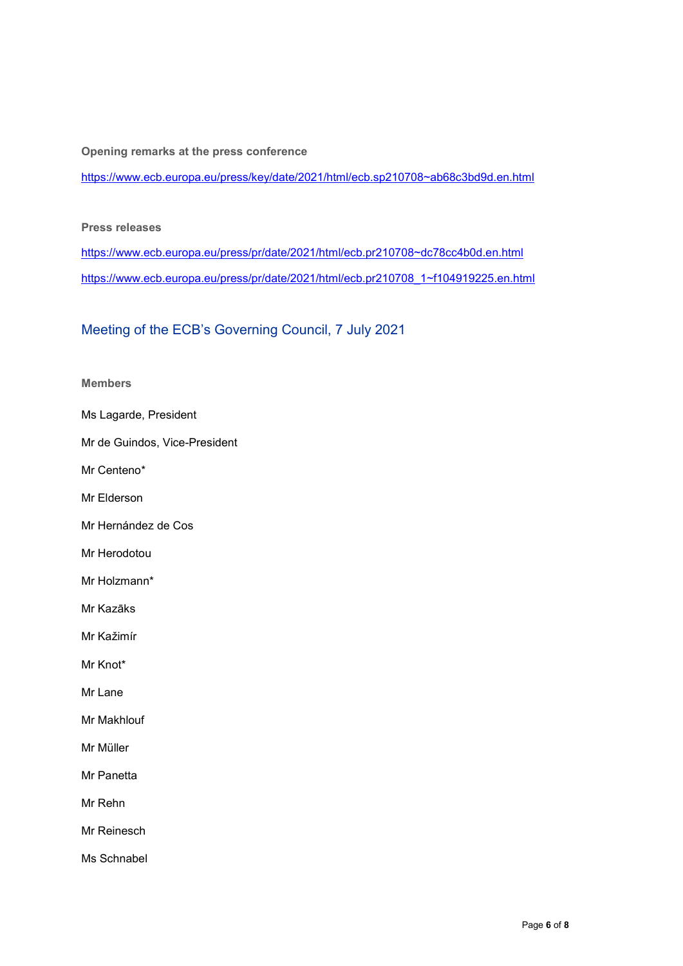**Opening remarks at the press conference**

[https://www.ecb.europa.eu/press/key/date/2021/html/ecb.sp210708~ab68c3bd9d.en.html](https://www.ecb.europa.eu/press/key/date/2021/html/ecb.sp210708%7Eab68c3bd9d.en.html)

### **Press releases**

[https://www.ecb.europa.eu/press/pr/date/2021/html/ecb.pr210708~dc78cc4b0d.en.html](https://www.ecb.europa.eu/press/pr/date/2021/html/ecb.pr210708%7Edc78cc4b0d.en.html) [https://www.ecb.europa.eu/press/pr/date/2021/html/ecb.pr210708\\_1~f104919225.en.html](https://www.ecb.europa.eu/press/pr/date/2021/html/ecb.pr210708_1%7Ef104919225.en.html)

# Meeting of the ECB's Governing Council, 7 July 2021

#### **Members**

- Ms Lagarde, President
- Mr de Guindos, Vice-President
- Mr Centeno\*
- Mr Elderson
- Mr Hernández de Cos
- Mr Herodotou
- Mr Holzmann\*
- Mr Kazāks
- Mr Kažimír
- Mr Knot\*
- Mr Lane
- Mr Makhlouf
- Mr Müller
- Mr Panetta
- Mr Rehn
- Mr Reinesch
- Ms Schnabel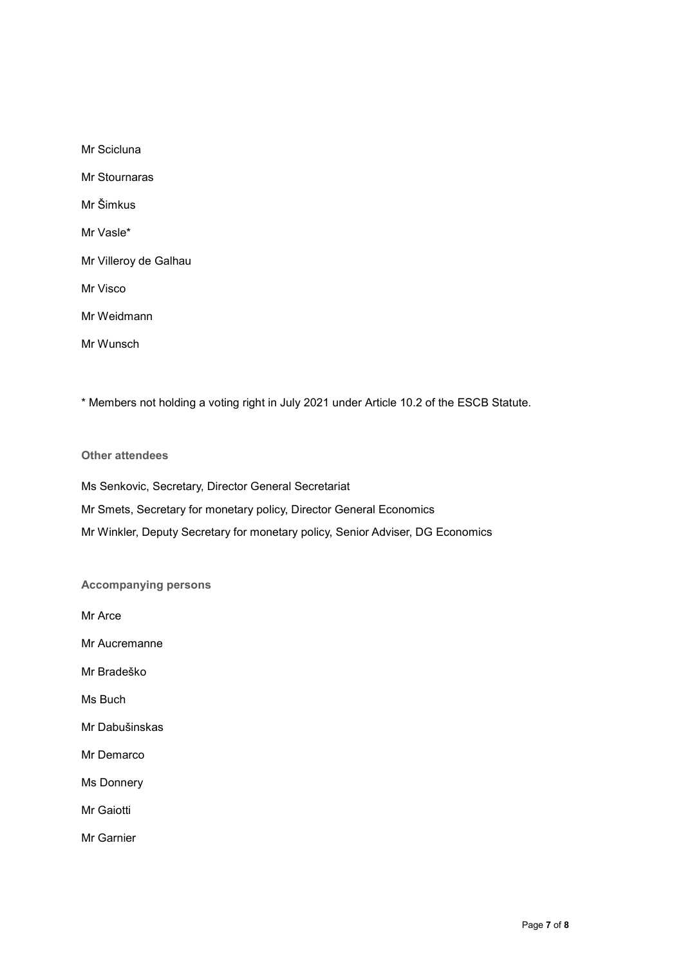Mr Scicluna Mr Stournaras Mr Šimkus Mr Vasle\* Mr Villeroy de Galhau Mr Visco Mr Weidmann Mr Wunsch

\* Members not holding a voting right in July 2021 under Article 10.2 of the ESCB Statute.

## **Other attendees**

Ms Senkovic, Secretary, Director General Secretariat Mr Smets, Secretary for monetary policy, Director General Economics Mr Winkler, Deputy Secretary for monetary policy, Senior Adviser, DG Economics

# **Accompanying persons**

Mr Arce

Mr Aucremanne

Mr Bradeško

Ms Buch

Mr Dabušinskas

Mr Demarco

Ms Donnery

Mr Gaiotti

Mr Garnier